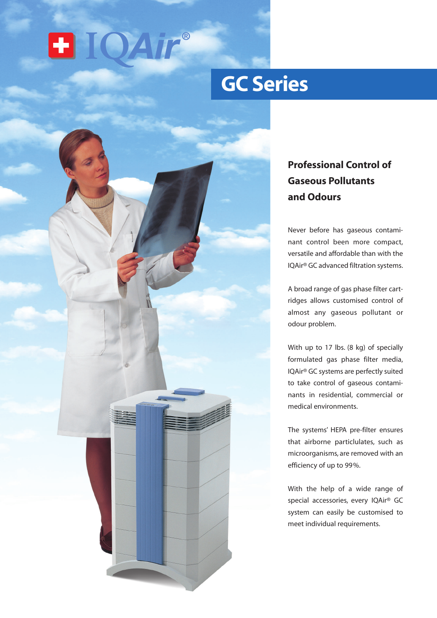

# **GC Series**



## **Professional Control of Gaseous Pollutants and Odours**

Never before has gaseous contaminant control been more compact, versatile and affordable than with the IQAir® GC advanced filtration systems.

A broad range of gas phase filter cartridges allows customised control of almost any gaseous pollutant or odour problem.

With up to 17 lbs. (8 kg) of specially formulated gas phase filter media, IQAir® GC systems are perfectly suited to take control of gaseous contaminants in residential, commercial or medical environments.

The systems' HEPA pre-filter ensures that airborne particlulates, such as microorganisms, are removed with an efficiency of up to 99%.

With the help of a wide range of special accessories, every IQAir® GC system can easily be customised to meet individual requirements.